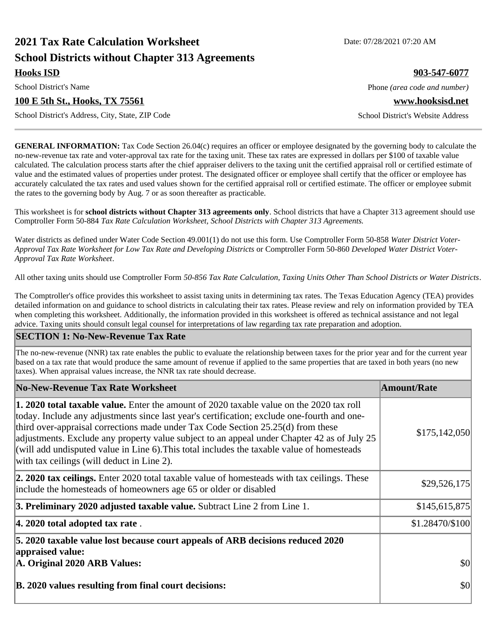# **2021 Tax Rate Calculation Worksheet Date: 07/28/2021 07:20 AM School Districts without Chapter 313 Agreements**

**Hooks ISD 903-547-6077**

### **100 E 5th St., Hooks, TX 75561 www.hooksisd.net**

School District's Address, City, State, ZIP Code School District's Website Address

**GENERAL INFORMATION:** Tax Code Section 26.04(c) requires an officer or employee designated by the governing body to calculate the no-new-revenue tax rate and voter-approval tax rate for the taxing unit. These tax rates are expressed in dollars per \$100 of taxable value calculated. The calculation process starts after the chief appraiser delivers to the taxing unit the certified appraisal roll or certified estimate of value and the estimated values of properties under protest. The designated officer or employee shall certify that the officer or employee has accurately calculated the tax rates and used values shown for the certified appraisal roll or certified estimate. The officer or employee submit the rates to the governing body by Aug. 7 or as soon thereafter as practicable.

This worksheet is for **school districts without Chapter 313 agreements only**. School districts that have a Chapter 313 agreement should use Comptroller Form 50-884 *Tax Rate Calculation Worksheet, School Districts with Chapter 313 Agreements.*

Water districts as defined under Water Code Section 49.001(1) do not use this form. Use Comptroller Form 50-858 *Water District Voter-Approval Tax Rate Worksheet for Low Tax Rate and Developing Districts* or Comptroller Form 50-860 *Developed Water District Voter-Approval Tax Rate Worksheet*.

All other taxing units should use Comptroller Form *50-856 Tax Rate Calculation, Taxing Units Other Than School Districts or Water Districts*.

The Comptroller's office provides this worksheet to assist taxing units in determining tax rates. The Texas Education Agency (TEA) provides detailed information on and guidance to school districts in calculating their tax rates. Please review and rely on information provided by TEA when completing this worksheet. Additionally, the information provided in this worksheet is offered as technical assistance and not legal advice. Taxing units should consult legal counsel for interpretations of law regarding tax rate preparation and adoption.

#### **SECTION 1: No-New-Revenue Tax Rate**

The no-new-revenue (NNR) tax rate enables the public to evaluate the relationship between taxes for the prior year and for the current year based on a tax rate that would produce the same amount of revenue if applied to the same properties that are taxed in both years (no new taxes). When appraisal values increase, the NNR tax rate should decrease.

| No-New-Revenue Tax Rate Worksheet                                                                                                                                                                                                                                                                                                                                                                                                                                                                                                     | <b>Amount/Rate</b> |
|---------------------------------------------------------------------------------------------------------------------------------------------------------------------------------------------------------------------------------------------------------------------------------------------------------------------------------------------------------------------------------------------------------------------------------------------------------------------------------------------------------------------------------------|--------------------|
| <b>1. 2020 total taxable value.</b> Enter the amount of 2020 taxable value on the 2020 tax roll<br>today. Include any adjustments since last year's certification; exclude one-fourth and one-<br>third over-appraisal corrections made under Tax Code Section 25.25(d) from these<br>adjustments. Exclude any property value subject to an appeal under Chapter 42 as of July 25<br>$\alpha$ will add undisputed value in Line 6). This total includes the taxable value of homesteads<br>with tax ceilings (will deduct in Line 2). | \$175,142,050      |
| 2. 2020 tax ceilings. Enter 2020 total taxable value of homesteads with tax ceilings. These<br>include the homesteads of homeowners age 65 or older or disabled                                                                                                                                                                                                                                                                                                                                                                       | \$29,526,175       |
| 3. Preliminary 2020 adjusted taxable value. Subtract Line 2 from Line 1.                                                                                                                                                                                                                                                                                                                                                                                                                                                              | \$145,615,875      |
| $ 4.2020$ total adopted tax rate.                                                                                                                                                                                                                                                                                                                                                                                                                                                                                                     | \$1.28470/\$100    |
| 5. 2020 taxable value lost because court appeals of ARB decisions reduced 2020<br>appraised value:<br>A. Original 2020 ARB Values:                                                                                                                                                                                                                                                                                                                                                                                                    | $ 10\rangle$       |
| B. 2020 values resulting from final court decisions:                                                                                                                                                                                                                                                                                                                                                                                                                                                                                  | \$0                |

School District's Name **Phone** *(area code and number)* Phone *(area code and number)*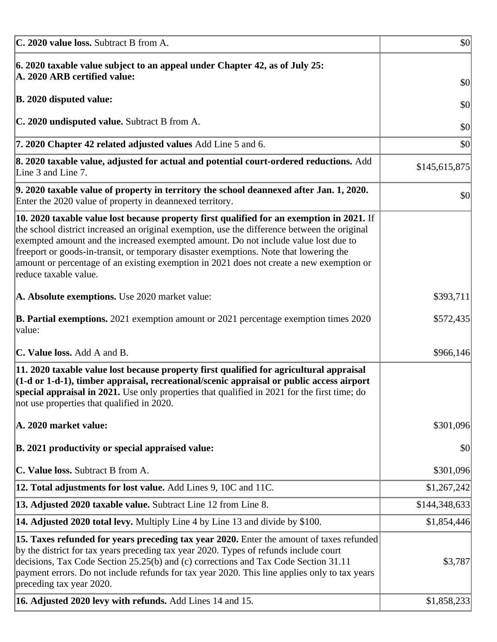| C. 2020 value loss. Subtract B from A.                                                                                                                                                                                                                                                                                                                                                                                                                                                                  | $\vert \mathbf{S} \mathbf{O} \vert$ |
|---------------------------------------------------------------------------------------------------------------------------------------------------------------------------------------------------------------------------------------------------------------------------------------------------------------------------------------------------------------------------------------------------------------------------------------------------------------------------------------------------------|-------------------------------------|
| 6. 2020 taxable value subject to an appeal under Chapter 42, as of July 25:<br>A. 2020 ARB certified value:                                                                                                                                                                                                                                                                                                                                                                                             | \$0                                 |
| <b>B. 2020 disputed value:</b>                                                                                                                                                                                                                                                                                                                                                                                                                                                                          | \$0                                 |
| C. 2020 undisputed value. Subtract B from A.                                                                                                                                                                                                                                                                                                                                                                                                                                                            | \$0                                 |
| 7. 2020 Chapter 42 related adjusted values Add Line 5 and 6.                                                                                                                                                                                                                                                                                                                                                                                                                                            | \$0                                 |
| 8. 2020 taxable value, adjusted for actual and potential court-ordered reductions. Add<br>Line 3 and Line 7.                                                                                                                                                                                                                                                                                                                                                                                            | \$145,615,875                       |
| 9. 2020 taxable value of property in territory the school deannexed after Jan. 1, 2020.<br>Enter the 2020 value of property in deannexed territory.                                                                                                                                                                                                                                                                                                                                                     | \$0                                 |
| $\vert$ 10. 2020 taxable value lost because property first qualified for an exemption in 2021. If<br>the school district increased an original exemption, use the difference between the original<br>exempted amount and the increased exempted amount. Do not include value lost due to<br>freeport or goods-in-transit, or temporary disaster exemptions. Note that lowering the<br>amount or percentage of an existing exemption in 2021 does not create a new exemption or<br>reduce taxable value. |                                     |
| A. Absolute exemptions. Use 2020 market value:                                                                                                                                                                                                                                                                                                                                                                                                                                                          | \$393,711                           |
| <b>B. Partial exemptions.</b> 2021 exemption amount or 2021 percentage exemption times 2020<br> value:                                                                                                                                                                                                                                                                                                                                                                                                  | \$572,435                           |
| <b>C. Value loss.</b> Add A and B.                                                                                                                                                                                                                                                                                                                                                                                                                                                                      | \$966,146                           |
| $\vert$ 11. 2020 taxable value lost because property first qualified for agricultural appraisal<br>$(1-d$ or 1-d-1), timber appraisal, recreational/scenic appraisal or public access airport<br>special appraisal in 2021. Use only properties that qualified in 2021 for the first time; do<br>not use properties that qualified in 2020.                                                                                                                                                             |                                     |
| A. 2020 market value:                                                                                                                                                                                                                                                                                                                                                                                                                                                                                   | \$301,096                           |
| B. 2021 productivity or special appraised value:                                                                                                                                                                                                                                                                                                                                                                                                                                                        | \$0                                 |
| C. Value loss. Subtract B from A.                                                                                                                                                                                                                                                                                                                                                                                                                                                                       | \$301,096                           |
| <b>12. Total adjustments for lost value.</b> Add Lines 9, 10C and 11C.                                                                                                                                                                                                                                                                                                                                                                                                                                  | \$1,267,242                         |
| 13. Adjusted 2020 taxable value. Subtract Line 12 from Line 8.                                                                                                                                                                                                                                                                                                                                                                                                                                          | \$144,348,633                       |
| <b>14. Adjusted 2020 total levy.</b> Multiply Line 4 by Line 13 and divide by \$100.                                                                                                                                                                                                                                                                                                                                                                                                                    | \$1,854,446                         |
| [15. Taxes refunded for years preceding tax year 2020. Enter the amount of taxes refunded<br>by the district for tax years preceding tax year 2020. Types of refunds include court<br>decisions, Tax Code Section 25.25(b) and (c) corrections and Tax Code Section 31.11<br>payment errors. Do not include refunds for tax year 2020. This line applies only to tax years<br>preceding tax year 2020.                                                                                                  | \$3,787                             |
| 16. Adjusted 2020 levy with refunds. Add Lines 14 and 15.                                                                                                                                                                                                                                                                                                                                                                                                                                               | \$1,858,233                         |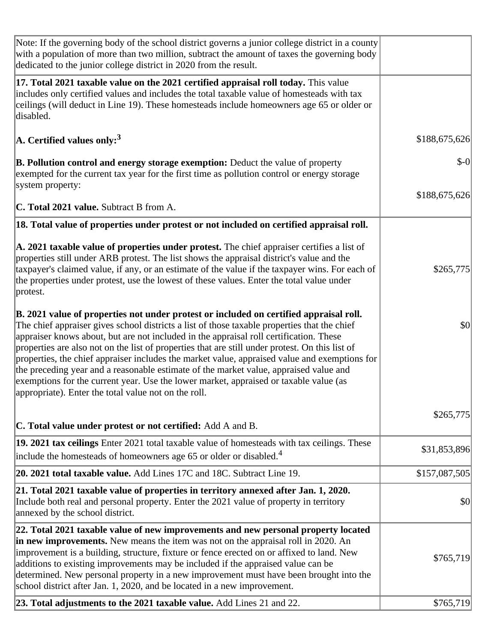| Note: If the governing body of the school district governs a junior college district in a county<br>with a population of more than two million, subtract the amount of taxes the governing body<br>dedicated to the junior college district in 2020 from the result.                                                                                                                                                                                                                                                                                                                                                                                                                                                           |               |
|--------------------------------------------------------------------------------------------------------------------------------------------------------------------------------------------------------------------------------------------------------------------------------------------------------------------------------------------------------------------------------------------------------------------------------------------------------------------------------------------------------------------------------------------------------------------------------------------------------------------------------------------------------------------------------------------------------------------------------|---------------|
| 17. Total 2021 taxable value on the 2021 certified appraisal roll today. This value<br>includes only certified values and includes the total taxable value of homesteads with tax<br>ceilings (will deduct in Line 19). These homesteads include homeowners age 65 or older or<br>disabled.                                                                                                                                                                                                                                                                                                                                                                                                                                    |               |
| $ A$ . Certified values only: <sup>3</sup>                                                                                                                                                                                                                                                                                                                                                                                                                                                                                                                                                                                                                                                                                     | \$188,675,626 |
| <b>B. Pollution control and energy storage exemption:</b> Deduct the value of property<br>exempted for the current tax year for the first time as pollution control or energy storage<br>system property:                                                                                                                                                                                                                                                                                                                                                                                                                                                                                                                      | $$-0$         |
| C. Total 2021 value. Subtract B from A.                                                                                                                                                                                                                                                                                                                                                                                                                                                                                                                                                                                                                                                                                        | \$188,675,626 |
| 18. Total value of properties under protest or not included on certified appraisal roll.                                                                                                                                                                                                                                                                                                                                                                                                                                                                                                                                                                                                                                       |               |
| A. 2021 taxable value of properties under protest. The chief appraiser certifies a list of<br>properties still under ARB protest. The list shows the appraisal district's value and the<br>taxpayer's claimed value, if any, or an estimate of the value if the taxpayer wins. For each of<br>the properties under protest, use the lowest of these values. Enter the total value under<br>protest.                                                                                                                                                                                                                                                                                                                            | \$265,775     |
| B. 2021 value of properties not under protest or included on certified appraisal roll.<br>The chief appraiser gives school districts a list of those taxable properties that the chief<br>appraiser knows about, but are not included in the appraisal roll certification. These<br>properties are also not on the list of properties that are still under protest. On this list of<br>properties, the chief appraiser includes the market value, appraised value and exemptions for<br>the preceding year and a reasonable estimate of the market value, appraised value and<br>exemptions for the current year. Use the lower market, appraised or taxable value (as<br>appropriate). Enter the total value not on the roll. | \$0           |
| C. Total value under protest or not certified: Add A and B.                                                                                                                                                                                                                                                                                                                                                                                                                                                                                                                                                                                                                                                                    | \$265,775     |
| 19. 2021 tax ceilings Enter 2021 total taxable value of homesteads with tax ceilings. These<br>include the homesteads of homeowners age 65 or older or disabled. <sup>4</sup>                                                                                                                                                                                                                                                                                                                                                                                                                                                                                                                                                  | \$31,853,896  |
| 20. 2021 total taxable value. Add Lines 17C and 18C. Subtract Line 19.                                                                                                                                                                                                                                                                                                                                                                                                                                                                                                                                                                                                                                                         | \$157,087,505 |
| 21. Total 2021 taxable value of properties in territory annexed after Jan. 1, 2020.<br>Include both real and personal property. Enter the 2021 value of property in territory<br>annexed by the school district.                                                                                                                                                                                                                                                                                                                                                                                                                                                                                                               | \$0           |
| 22. Total 2021 taxable value of new improvements and new personal property located<br>in new improvements. New means the item was not on the appraisal roll in 2020. An<br>improvement is a building, structure, fixture or fence erected on or affixed to land. New<br>additions to existing improvements may be included if the appraised value can be<br>determined. New personal property in a new improvement must have been brought into the<br>school district after Jan. 1, 2020, and be located in a new improvement.                                                                                                                                                                                                 | \$765,719     |
| 23. Total adjustments to the 2021 taxable value. Add Lines 21 and 22.                                                                                                                                                                                                                                                                                                                                                                                                                                                                                                                                                                                                                                                          | \$765,719     |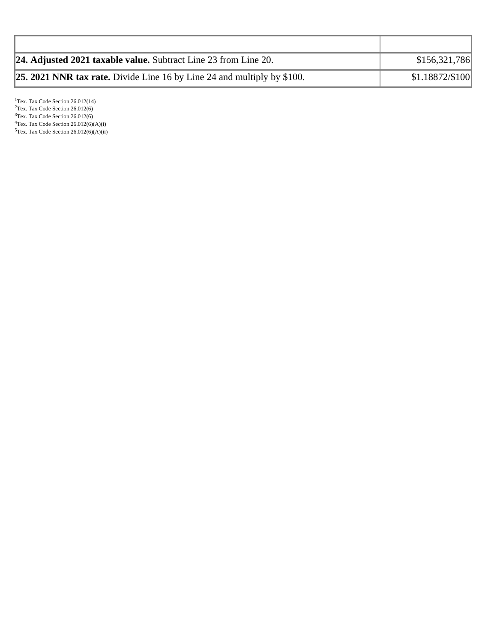| <b>24. Adjusted 2021 taxable value.</b> Subtract Line 23 from Line 20.         | \$156,321,786   |
|--------------------------------------------------------------------------------|-----------------|
| <b>25. 2021 NNR tax rate.</b> Divide Line 16 by Line 24 and multiply by \$100. | \$1.18872/\$100 |

<sup>1</sup>Tex. Tax Code Section 26.012(14)  $2$ Tex. Tax Code Section 26.012(6) <sup>3</sup>Tex. Tax Code Section 26.012(6)  ${}^{4}$ Tex. Tax Code Section 26.012(6)(A)(i)  $5$ Tex. Tax Code Section 26.012(6)(A)(ii)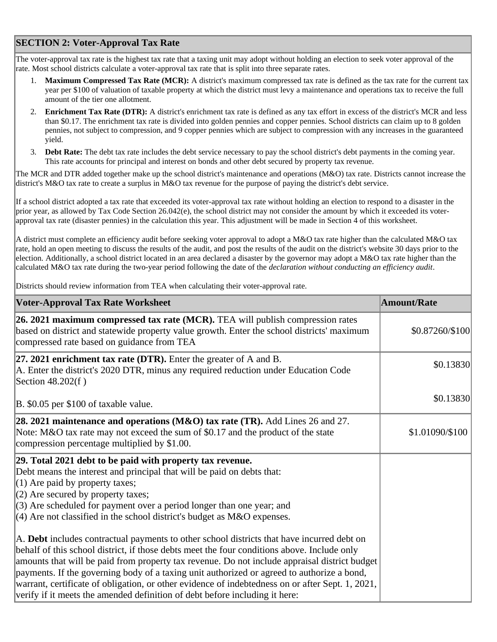## **SECTION 2: Voter-Approval Tax Rate**

The voter-approval tax rate is the highest tax rate that a taxing unit may adopt without holding an election to seek voter approval of the rate. Most school districts calculate a voter-approval tax rate that is split into three separate rates.

- 1. **Maximum Compressed Tax Rate (MCR):** A district's maximum compressed tax rate is defined as the tax rate for the current tax year per \$100 of valuation of taxable property at which the district must levy a maintenance and operations tax to receive the full amount of the tier one allotment.
- 2. **Enrichment Tax Rate (DTR):** A district's enrichment tax rate is defined as any tax effort in excess of the district's MCR and less than \$0.17. The enrichment tax rate is divided into golden pennies and copper pennies. School districts can claim up to 8 golden pennies, not subject to compression, and 9 copper pennies which are subject to compression with any increases in the guaranteed yield.
- 3. **Debt Rate:** The debt tax rate includes the debt service necessary to pay the school district's debt payments in the coming year. This rate accounts for principal and interest on bonds and other debt secured by property tax revenue.

The MCR and DTR added together make up the school district's maintenance and operations (M&O) tax rate. Districts cannot increase the district's M&O tax rate to create a surplus in M&O tax revenue for the purpose of paying the district's debt service.

If a school district adopted a tax rate that exceeded its voter-approval tax rate without holding an election to respond to a disaster in the prior year, as allowed by Tax Code Section 26.042(e), the school district may not consider the amount by which it exceeded its voterapproval tax rate (disaster pennies) in the calculation this year. This adjustment will be made in Section 4 of this worksheet.

A district must complete an efficiency audit before seeking voter approval to adopt a M&O tax rate higher than the calculated M&O tax rate, hold an open meeting to discuss the results of the audit, and post the results of the audit on the district's website 30 days prior to the election. Additionally, a school district located in an area declared a disaster by the governor may adopt a M&O tax rate higher than the calculated M&O tax rate during the two-year period following the date of the *declaration without conducting an efficiency audit*.

Districts should review information from TEA when calculating their voter-approval rate.

| <b>Voter-Approval Tax Rate Worksheet</b>                                                                                                                                                                                                                                                                                                                                                                                                                                                                                                                                    | <b>Amount/Rate</b> |
|-----------------------------------------------------------------------------------------------------------------------------------------------------------------------------------------------------------------------------------------------------------------------------------------------------------------------------------------------------------------------------------------------------------------------------------------------------------------------------------------------------------------------------------------------------------------------------|--------------------|
| 26. 2021 maximum compressed tax rate (MCR). TEA will publish compression rates<br>based on district and statewide property value growth. Enter the school districts' maximum<br>compressed rate based on guidance from TEA                                                                                                                                                                                                                                                                                                                                                  | \$0.87260/\$100    |
| $ 27.2021$ enrichment tax rate (DTR). Enter the greater of A and B.<br>A. Enter the district's 2020 DTR, minus any required reduction under Education Code<br>Section 48.202(f)                                                                                                                                                                                                                                                                                                                                                                                             | \$0.13830          |
| B. \$0.05 per \$100 of taxable value.                                                                                                                                                                                                                                                                                                                                                                                                                                                                                                                                       | \$0.13830          |
| 28. 2021 maintenance and operations (M&O) tax rate (TR). Add Lines 26 and 27.<br>Note: M&O tax rate may not exceed the sum of \$0.17 and the product of the state<br>compression percentage multiplied by \$1.00.                                                                                                                                                                                                                                                                                                                                                           | \$1.01090/\$100    |
| 29. Total 2021 debt to be paid with property tax revenue.<br>Debt means the interest and principal that will be paid on debts that:<br>$(1)$ Are paid by property taxes;<br>$(2)$ Are secured by property taxes;<br>$(3)$ Are scheduled for payment over a period longer than one year; and<br>$\vert$ (4) Are not classified in the school district's budget as M&O expenses.                                                                                                                                                                                              |                    |
| A. Debt includes contractual payments to other school districts that have incurred debt on<br>behalf of this school district, if those debts meet the four conditions above. Include only<br>amounts that will be paid from property tax revenue. Do not include appraisal district budget<br>payments. If the governing body of a taxing unit authorized or agreed to authorize a bond,<br>warrant, certificate of obligation, or other evidence of indebtedness on or after Sept. 1, 2021,<br>verify if it meets the amended definition of debt before including it here: |                    |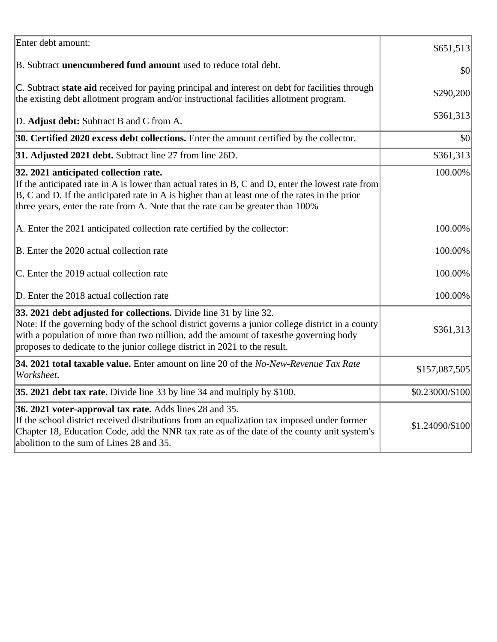| Enter debt amount:                                                                                                                                                                                                                                                                                                                            | \$651,513       |
|-----------------------------------------------------------------------------------------------------------------------------------------------------------------------------------------------------------------------------------------------------------------------------------------------------------------------------------------------|-----------------|
| B. Subtract <b>unencumbered fund amount</b> used to reduce total debt.                                                                                                                                                                                                                                                                        | \$0             |
| C. Subtract state aid received for paying principal and interest on debt for facilities through<br>the existing debt allotment program and/or instructional facilities allotment program.                                                                                                                                                     | \$290,200       |
| D. Adjust debt: Subtract B and C from A.                                                                                                                                                                                                                                                                                                      | \$361,313       |
| 30. Certified 2020 excess debt collections. Enter the amount certified by the collector.                                                                                                                                                                                                                                                      | \$0             |
| 31. Adjusted 2021 debt. Subtract line 27 from line 26D.                                                                                                                                                                                                                                                                                       | \$361,313       |
| 32. 2021 anticipated collection rate.<br>If the anticipated rate in A is lower than actual rates in B, C and D, enter the lowest rate from<br>$ B, C$ and D. If the anticipated rate in A is higher than at least one of the rates in the prior<br>three years, enter the rate from A. Note that the rate can be greater than 100%            | 100.00%         |
| A. Enter the 2021 anticipated collection rate certified by the collector:                                                                                                                                                                                                                                                                     | 100.00%         |
| B. Enter the 2020 actual collection rate                                                                                                                                                                                                                                                                                                      | 100.00%         |
| C. Enter the 2019 actual collection rate                                                                                                                                                                                                                                                                                                      | 100.00%         |
| D. Enter the 2018 actual collection rate                                                                                                                                                                                                                                                                                                      | 100.00%         |
| 33. 2021 debt adjusted for collections. Divide line 31 by line 32.<br>Note: If the governing body of the school district governs a junior college district in a county<br>with a population of more than two million, add the amount of taxesthe governing body<br>proposes to dedicate to the junior college district in 2021 to the result. | \$361,313       |
| 34. 2021 total taxable value. Enter amount on line 20 of the No-New-Revenue Tax Rate<br>Worksheet.                                                                                                                                                                                                                                            | \$157,087,505   |
| 35. 2021 debt tax rate. Divide line 33 by line 34 and multiply by \$100.                                                                                                                                                                                                                                                                      | \$0.23000/\$100 |
| 36. 2021 voter-approval tax rate. Adds lines 28 and 35.<br>If the school district received distributions from an equalization tax imposed under former<br>Chapter 18, Education Code, add the NNR tax rate as of the date of the county unit system's<br>abolition to the sum of Lines 28 and 35.                                             | \$1.24090/\$100 |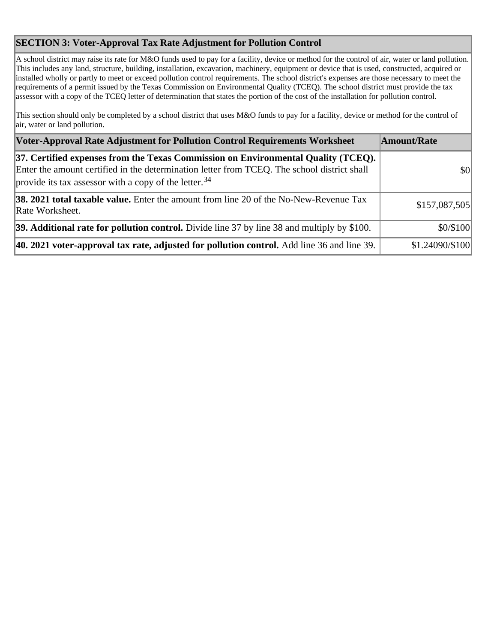## **SECTION 3: Voter-Approval Tax Rate Adjustment for Pollution Control**

A school district may raise its rate for M&O funds used to pay for a facility, device or method for the control of air, water or land pollution. This includes any land, structure, building, installation, excavation, machinery, equipment or device that is used, constructed, acquired or installed wholly or partly to meet or exceed pollution control requirements. The school district's expenses are those necessary to meet the requirements of a permit issued by the Texas Commission on Environmental Quality (TCEQ). The school district must provide the tax assessor with a copy of the TCEQ letter of determination that states the portion of the cost of the installation for pollution control.

This section should only be completed by a school district that uses M&O funds to pay for a facility, device or method for the control of air, water or land pollution.

| Voter-Approval Rate Adjustment for Pollution Control Requirements Worksheet                                                                                                                                                                           | Amount/Rate     |
|-------------------------------------------------------------------------------------------------------------------------------------------------------------------------------------------------------------------------------------------------------|-----------------|
| 37. Certified expenses from the Texas Commission on Environmental Quality (TCEQ).<br>Enter the amount certified in the determination letter from TCEQ. The school district shall<br>provide its tax assessor with a copy of the letter. <sup>34</sup> | \$0             |
| 38. 2021 total taxable value. Enter the amount from line 20 of the No-New-Revenue Tax<br>Rate Worksheet.                                                                                                                                              | \$157,087,505   |
| 39. Additional rate for pollution control. Divide line 37 by line 38 and multiply by \$100.                                                                                                                                                           | \$0/\$100       |
| 40. 2021 voter-approval tax rate, adjusted for pollution control. Add line 36 and line 39.                                                                                                                                                            | \$1.24090/\$100 |